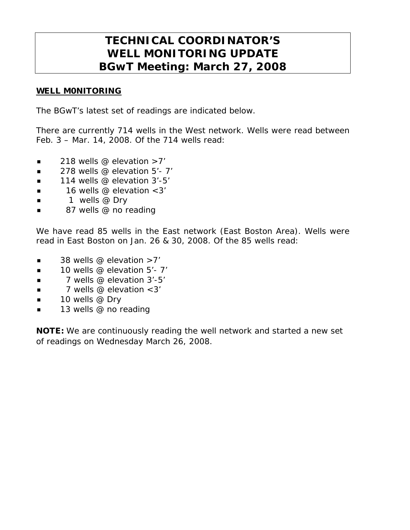## **TECHNICAL COORDINATOR'S WELL MONITORING UPDATE BGwT Meeting: March 27, 2008**

## WELL M0NITORING

The BGwT's latest set of readings are indicated below.

There are currently 714 wells in the West network. Wells were read between Feb. 3 – Mar. 14, 2008. Of the 714 wells read:

- $\blacksquare$  218 wells @ elevation >7'
- $\blacksquare$  278 wells @ elevation 5'-7'
- $\blacksquare$  114 wells @ elevation 3'-5'
- $\blacksquare$  16 wells @ elevation < 3'
- $\blacksquare$  1 wells @ Dry
- 87 wells @ no reading

We have read 85 wells in the East network (East Boston Area). Wells were read in East Boston on Jan. 26 & 30, 2008. Of the 85 wells read:

- $\blacksquare$  38 wells @ elevation  $>7'$
- $\blacksquare$  10 wells @ elevation 5'- 7'
- $\blacksquare$  7 wells @ elevation 3'-5'
- $\blacksquare$  7 wells @ elevation < 3'
- $\blacksquare$  10 wells @ Dry
- **13** wells @ no reading

NOTE: We are continuously reading the well network and started a new set of readings on Wednesday March 26, 2008.